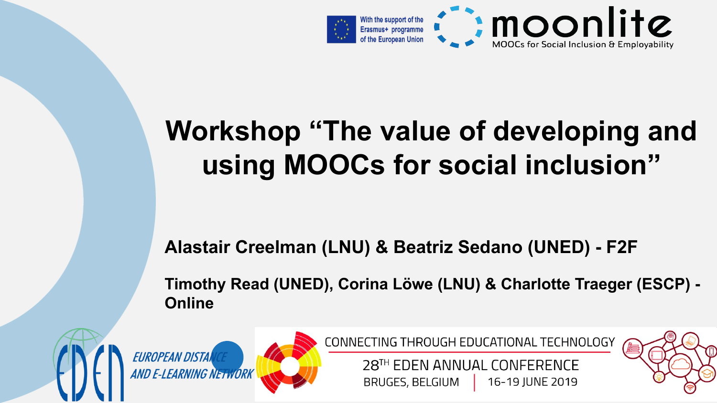

### **Workshop "The value of developing and using MOOCs for social inclusion"**

#### **Alastair Creelman (LNU) & Beatriz Sedano (UNED) - F2F**

**Timothy Read (UNED), Corina Löwe (LNU) & Charlotte Traeger (ESCP) - Online**







CONNECTING THROUGH EDUCATIONAL TECHNOLOGY

28TH FDFN ANNUAL CONFERENCE **BRUGES, BELGIUM** 16-19 JUNE 2019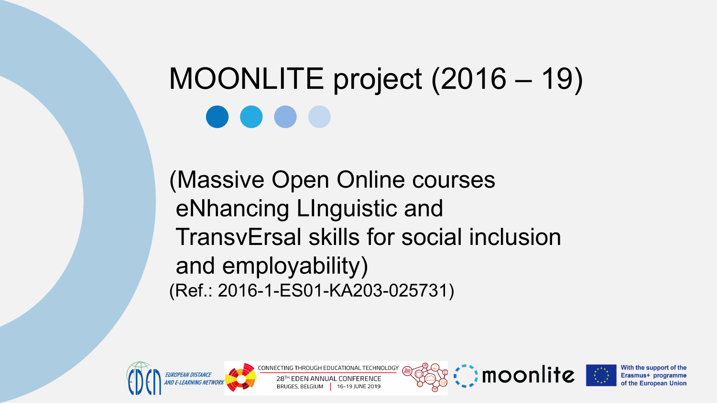# MOONLITE project (2016 – 19)

(Massive Open Online courses eNhancing LInguistic and TransvErsal skills for social inclusion and employability) (Ref.: 2016-1-ES01-KA203-025731)



**ECHNOLOGY** 





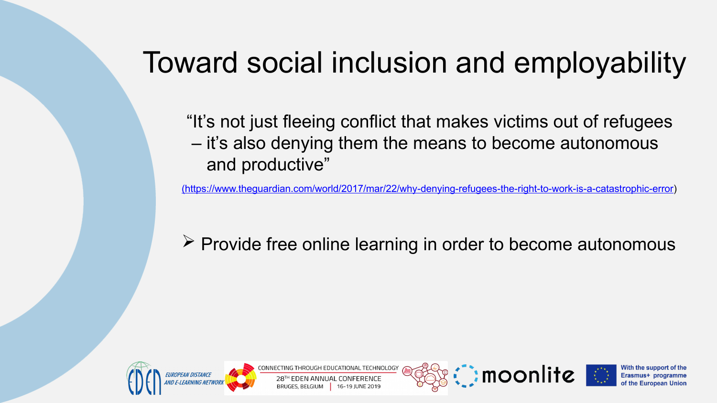### Toward social inclusion and employability

 "It's not just fleeing conflict that makes victims out of refugees – it's also denying them the means to become autonomous and productive"

[\(https://www.theguardian.com/world/2017/mar/22/why-denying-refugees-the-right-to-work-is-a-catastrophic-error\)](https://www.theguardian.com/world/2017/mar/22/why-denying-refugees-the-right-to-work-is-a-catastrophic-error)

 $\triangleright$  Provide free online learning in order to become autonomous



CHNOLOGY





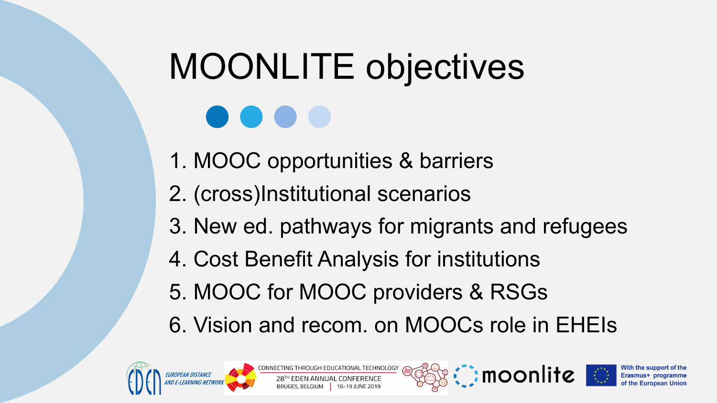# MOONLITE objectives

- 1. MOOC opportunities & barriers
- 2. (cross)Institutional scenarios
- 3. New ed. pathways for migrants and refugees
- 4. Cost Benefit Analysis for institutions
- 5. MOOC for MOOC providers & RSGs
- 6. Vision and recom. on MOOCs role in EHEIs



**TECHNOLOGY** 



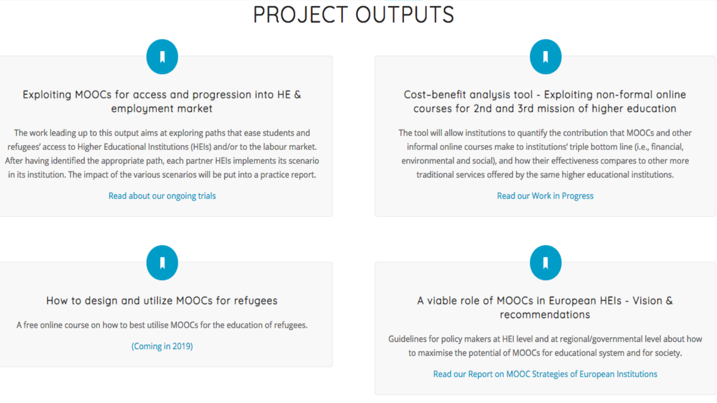#### **PROJECT OUTPUTS**

#### Exploiting MOOCs for access and progression into HE & emploument market

The work leading up to this output aims at exploring paths that ease students and refugees' access to Higher Educational Institutions (HEIs) and/or to the labour market. After having identified the appropriate path, each partner HEIs implements its scenario in its institution. The impact of the various scenarios will be put into a practice report.

#### Read about our ongoing trials

#### Cost-benefit analysis tool - Exploiting non-formal online courses for 2nd and 3rd mission of higher education

The tool will allow institutions to quantify the contribution that MOOCs and other informal online courses make to institutions' triple bottom line (i.e., financial, environmental and social), and how their effectiveness compares to other more traditional services offered by the same higher educational institutions.

**Read our Work in Progress** 

How to design and utilize MOOCs for refugees

A free online course on how to best utilise MOOCs for the education of refugees.

(Coming in 2019)

#### A viable role of MOOCs in European HEIs - Vision & recommendations

Guidelines for policy makers at HEI level and at regional/governmental level about how to maximise the potential of MOOCs for educational system and for society.

Read our Report on MOOC Strategies of European Institutions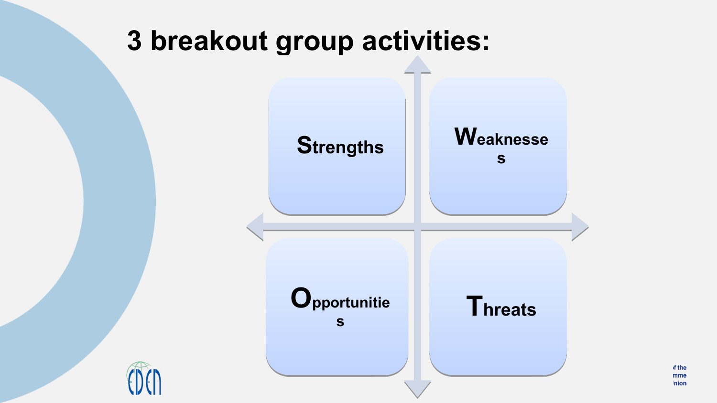

of the mme nion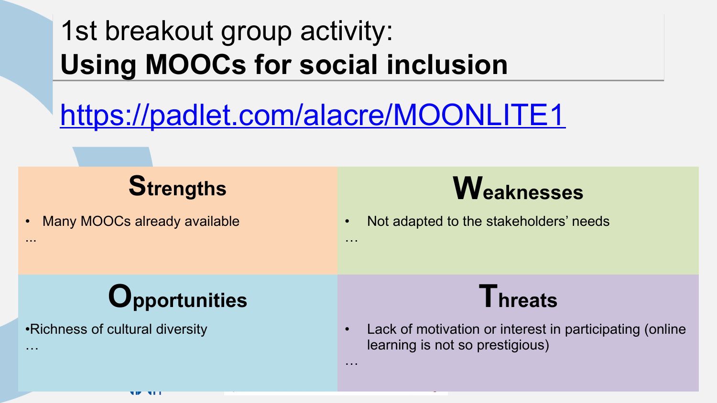### 1st breakout group activity: 1st breakout group activity: **Using MOOCs for social inclusion Using MOOCs for social inclusion**

#### https://padlet.com/alacre/MOONLITE1

…

…

Many MOOCs already available

...

…

### **Strengths Weaknesses**

• Not adapted to the stakeholders' needs

# **Opportunities Threats**

•Richness of cultural diversity

• Lack of motivation or interest in participating (online learning is not so prestigious)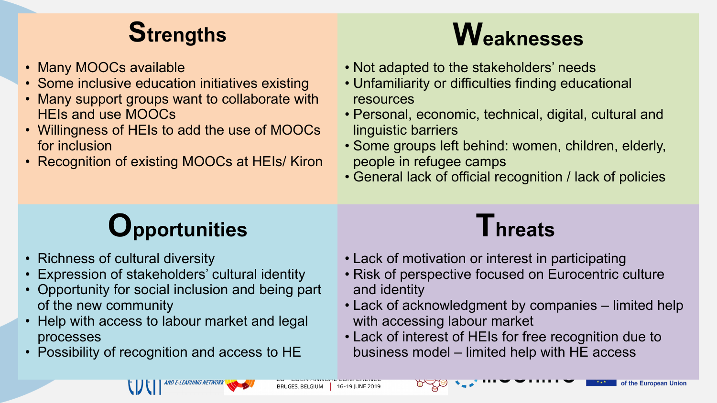

- Many MOOCs available
- Some inclusive education initiatives existing
- Many support groups want to collaborate with HEIs and use MOOCs
- Willingness of HEIs to add the use of MOOCs for inclusion
- Recognition of existing MOOCs at HEIs/ Kiron

### **Strengths Weaknesses**

- Not adapted to the stakeholders' needs
- Unfamiliarity or difficulties finding educational resources
- Personal, economic, technical, digital, cultural and linguistic barriers
- Some groups left behind: women, children, elderly, people in refugee camps
- General lack of official recognition / lack of policies

#### **Opportunities Threats**

- Richness of cultural diversity
- Expression of stakeholders' cultural identity
- Opportunity for social inclusion and being part of the new community
- Help with access to labour market and legal processes
- Possibility of recognition and access to HE

- Lack of motivation or interest in participating
- Risk of perspective focused on Eurocentric culture and identity
- Lack of acknowledgment by companies limited help with accessing labour market
- Lack of interest of HEIs for free recognition due to business model – limited help with HE access

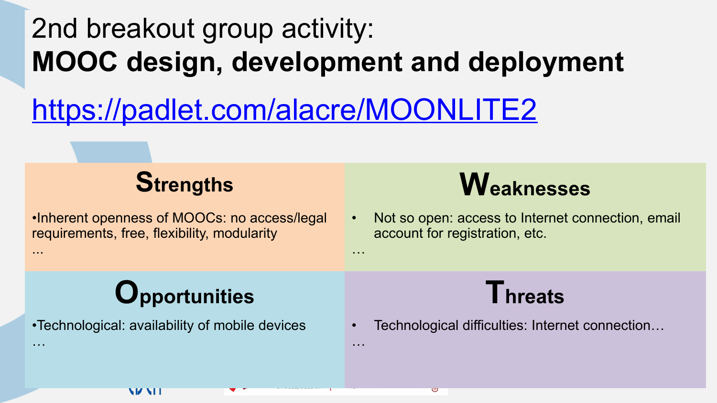### 2nd breakout group activity: MOOC design, development and deployment

. . .

. . .

#### https://padlet.com/alacre/MOONLITE2

#### **Strengths**

. Inherent openness of MOOCs: no access/legal requirements, free, flexibility, modularity

#### **Weaknesses**

Not so open: access to Internet connection, email account for registration, etc.

#### Opportunities

•Technological: availability of mobile devices

**VIANT** 

 $\sim$   $\sim$   $\sim$ 

- - -



Technological difficulties: Internet connection...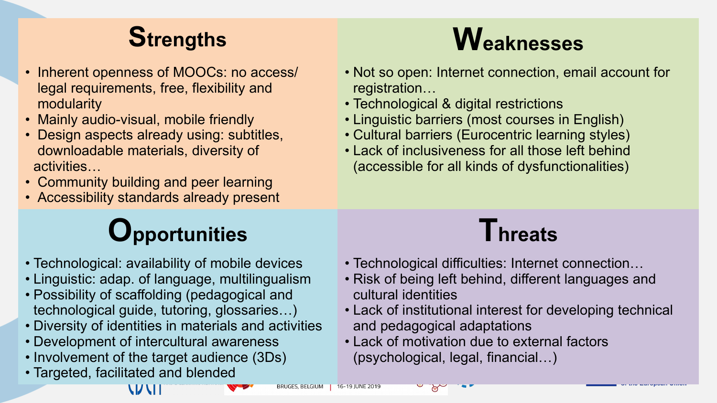- Inherent openness of MOOCs: no access/ legal requirements, free, flexibility and modularity
- Mainly audio-visual, mobile friendly
- Design aspects already using: subtitles, downloadable materials, diversity of activities…
- Community building and peer learning
- Accessibility standards already present

#### **Opportunities Threats**

- Technological: availability of mobile devices
- Linguistic: adap. of language, multilingualism
- Possibility of scaffolding (pedagogical and technological guide, tutoring, glossaries…)
- Diversity of identities in materials and activities
- Development of intercultural awareness
- Involvement of the target audience (3Ds)

\V\II

• Targeted, facilitated and blended

# **Strengths Weaknesses**

- Not so open: Internet connection, email account for registration…
- Technological & digital restrictions
- Linguistic barriers (most courses in English)
- Cultural barriers (Eurocentric learning styles)
- Lack of inclusiveness for all those left behind (accessible for all kinds of dysfunctionalities)

- Technological difficulties: Internet connection…
- Risk of being left behind, different languages and cultural identities
- Lack of institutional interest for developing technical and pedagogical adaptations
- Lack of motivation due to external factors (psychological, legal, financial…)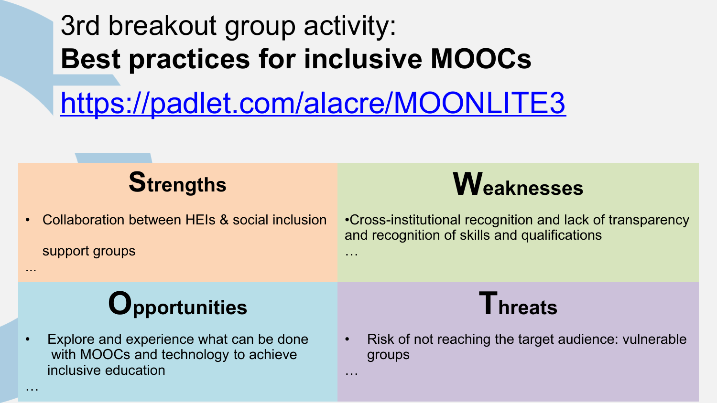# 3rd breakout group activity: **Best practices for inclusive MOOCs** <https://padlet.com/alacre/MOONLITE3>

…

…

• Collaboration between HEIs & social inclusion

support groups



•Cross-institutional recognition and lack of transparency and recognition of skills and qualifications

#### **Opportunities Threats**

Explore and experience what can be done with MOOCs and technology to achieve inclusive education



• Risk of not reaching the target audience: vulnerable groups

...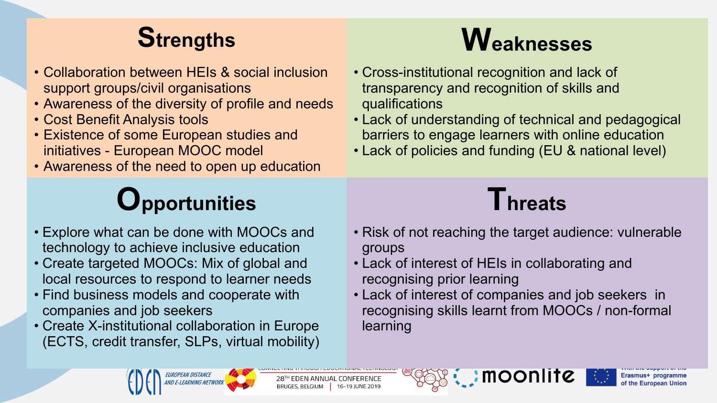- Collaboration between HEIs & social inclusion support groups/civil organisations
- Awareness of the diversity of profile and needs
- Cost Benefit Analysis tools
- Existence of some European studies and initiatives - European MOOC model
- Awareness of the need to open up education

# **Opportunities Threats**

- Explore what can be done with MOOCs and technology to achieve inclusive education
- Create targeted MOOCs: Mix of global and local resources to respond to learner needs
- Find business models and cooperate with companies and job seekers
- Create X-institutional collaboration in Europe (ECTS, credit transfer, SLPs, virtual mobility)

# **Strengths Weaknesses**

- Cross-institutional recognition and lack of transparency and recognition of skills and qualifications
- Lack of understanding of technical and pedagogical barriers to engage learners with online education
- Lack of policies and funding (EU & national level)



- Risk of not reaching the target audience: vulnerable groups
- Lack of interest of HEIs in collaborating and recognising prior learning
- Lack of interest of companies and job seekers in recognising skills learnt from MOOCs / non-formal learning





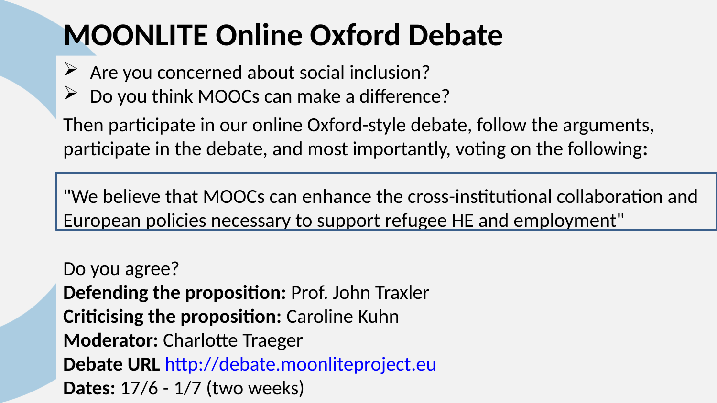### **MOONLITE Online Oxford Debate**

- $\triangleright$  Are you concerned about social inclusion?
- Do you think MOOCs can make a difference?

Then participate in our online Oxford-style debate, follow the arguments, participate in the debate, and most importantly, voting on the following**:**

"We believe that MOOCs can enhance the cross-institutional collaboration and European policies necessary to support refugee HE and employment"

Do you agree? **Defending the proposition:** Prof. John Traxler **Criticising the proposition:** Caroline Kuhn **Moderator:** Charlotte Traeger **Debate URL** [http://debate.moonliteproject.eu](http://debate.moonliteproject.eu/) **Dates:** 17/6 - 1/7 (two weeks)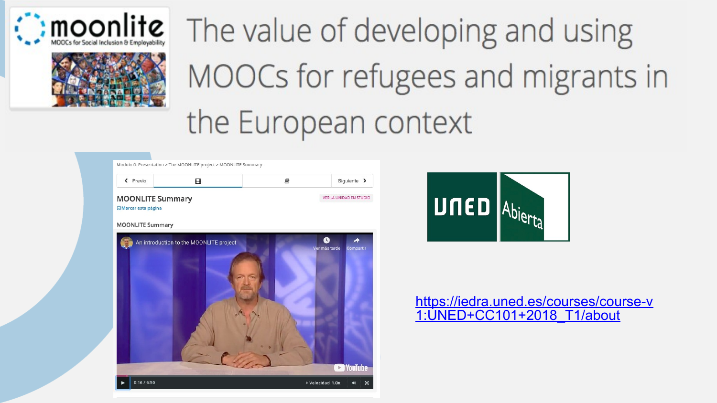



The value of developing and using MOOCs for refugees and migrants in the European context

| < Previo                                               | 円                                       | E) | Siguiente >                     |
|--------------------------------------------------------|-----------------------------------------|----|---------------------------------|
| <b>MOONLITE Summary</b><br><b>Q</b> Marcar esta página |                                         |    | VER LA UNIDAD EN STUDIO         |
| <b>MOONLITE Summary</b>                                |                                         |    |                                 |
|                                                        | An introduction to the MOONLITE project |    | $\bullet$<br>◢<br>Ver más tarde |
|                                                        |                                         |    | Compartir                       |
|                                                        |                                         |    |                                 |
|                                                        |                                         |    |                                 |
|                                                        |                                         |    |                                 |
|                                                        |                                         |    |                                 |
|                                                        |                                         |    |                                 |
|                                                        |                                         |    | <b>YouTube</b><br>$\,$          |
|                                                        |                                         |    |                                 |



#### https://iedra.uned.es/courses/course-v 1: UNED+CC101+2018 T1/about